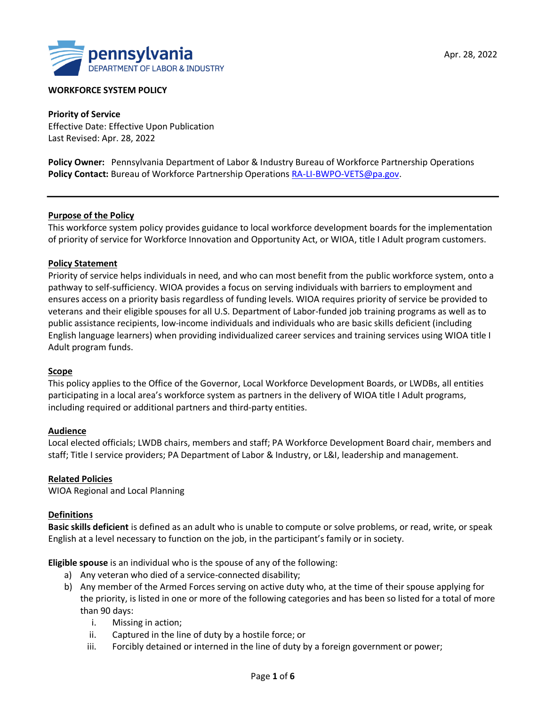

#### **WORKFORCE SYSTEM POLICY**

**Priority of Service** Effective Date: Effective Upon Publication Last Revised: Apr. 28, 2022

**Policy Owner:**Pennsylvania Department of Labor & Industry Bureau of Workforce Partnership Operations Policy Contact: Bureau of Workforce Partnership Operations [RA-LI-BWPO-VETS@pa.gov.](mailto:RA-LI-BWPO-VETS@pa.gov)

#### **Purpose of the Policy**

This workforce system policy provides guidance to local workforce development boards for the implementation of priority of service for Workforce Innovation and Opportunity Act, or WIOA, title I Adult program customers.

#### **Policy Statement**

Priority of service helps individuals in need, and who can most benefit from the public workforce system, onto a pathway to self-sufficiency. WIOA provides a focus on serving individuals with barriers to employment and ensures access on a priority basis regardless of funding levels. WIOA requires priority of service be provided to veterans and their eligible spouses for all U.S. Department of Labor-funded job training programs as well as to public assistance recipients, low-income individuals and individuals who are basic skills deficient (including English language learners) when providing individualized career services and training services using WIOA title I Adult program funds.

#### **Scope**

This policy applies to the Office of the Governor, Local Workforce Development Boards, or LWDBs, all entities participating in a local area's workforce system as partners in the delivery of WIOA title I Adult programs, including required or additional partners and third-party entities.

#### **Audience**

Local elected officials; LWDB chairs, members and staff; PA Workforce Development Board chair, members and staff; Title I service providers; PA Department of Labor & Industry, or L&I, leadership and management.

#### **Related Policies**

WIOA Regional and Local Planning

#### **Definitions**

**Basic skills deficient** is defined as an adult who is unable to compute or solve problems, or read, write, or speak English at a level necessary to function on the job, in the participant's family or in society.

**Eligible spouse** is an individual who is the spouse of any of the following:

- a) Any veteran who died of a service-connected disability;
- b) Any member of the Armed Forces serving on active duty who, at the time of their spouse applying for the priority, is listed in one or more of the following categories and has been so listed for a total of more than 90 days:
	- i. Missing in action;
	- ii. Captured in the line of duty by a hostile force; or
	- iii. Forcibly detained or interned in the line of duty by a foreign government or power;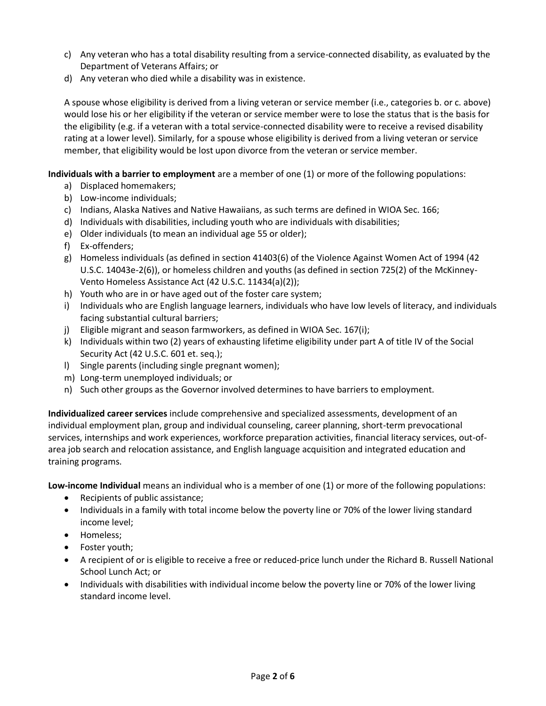- c) Any veteran who has a total disability resulting from a service-connected disability, as evaluated by the Department of Veterans Affairs; or
- d) Any veteran who died while a disability was in existence.

A spouse whose eligibility is derived from a living veteran or service member (i.e., categories b. or c. above) would lose his or her eligibility if the veteran or service member were to lose the status that is the basis for the eligibility (e.g. if a veteran with a total service-connected disability were to receive a revised disability rating at a lower level). Similarly, for a spouse whose eligibility is derived from a living veteran or service member, that eligibility would be lost upon divorce from the veteran or service member.

**Individuals with a barrier to employment** are a member of one (1) or more of the following populations:

- a) Displaced homemakers;
- b) Low-income individuals;
- c) Indians, Alaska Natives and Native Hawaiians, as such terms are defined in WIOA Sec. 166;
- d) Individuals with disabilities, including youth who are individuals with disabilities;
- e) Older individuals (to mean an individual age 55 or older);
- f) Ex-offenders;
- g) Homeless individuals (as defined in section 41403(6) of the Violence Against Women Act of 1994 (42 U.S.C. 14043e-2(6)), or homeless children and youths (as defined in section 725(2) of the McKinney-Vento Homeless Assistance Act (42 U.S.C. 11434(a)(2));
- h) Youth who are in or have aged out of the foster care system;
- i) Individuals who are English language learners, individuals who have low levels of literacy, and individuals facing substantial cultural barriers;
- j) Eligible migrant and season farmworkers, as defined in WIOA Sec. 167(i);
- k) Individuals within two (2) years of exhausting lifetime eligibility under part A of title IV of the Social Security Act (42 U.S.C. 601 et. seq.);
- l) Single parents (including single pregnant women);
- m) Long-term unemployed individuals; or
- n) Such other groups as the Governor involved determines to have barriers to employment.

**Individualized career services** include comprehensive and specialized assessments, development of an individual employment plan, group and individual counseling, career planning, short-term prevocational services, internships and work experiences, workforce preparation activities, financial literacy services, out-ofarea job search and relocation assistance, and English language acquisition and integrated education and training programs.

**Low-income Individual** means an individual who is a member of one (1) or more of the following populations:

- Recipients of public assistance;
- Individuals in a family with total income below the poverty line or 70% of the lower living standard income level;
- Homeless;
- Foster youth;
- A recipient of or is eligible to receive a free or reduced-price lunch under the Richard B. Russell National School Lunch Act; or
- Individuals with disabilities with individual income below the poverty line or 70% of the lower living standard income level.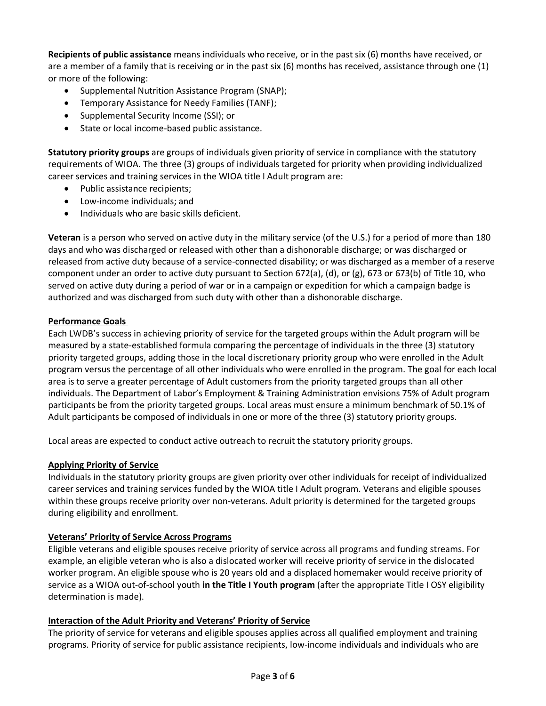**Recipients of public assistance** means individuals who receive, or in the past six (6) months have received, or are a member of a family that is receiving or in the past six (6) months has received, assistance through one (1) or more of the following:

- Supplemental Nutrition Assistance Program (SNAP);
- Temporary Assistance for Needy Families (TANF);
- Supplemental Security Income (SSI); or
- State or local income-based public assistance.

**Statutory priority groups** are groups of individuals given priority of service in compliance with the statutory requirements of WIOA. The three (3) groups of individuals targeted for priority when providing individualized career services and training services in the WIOA title I Adult program are:

- Public assistance recipients;
- Low-income individuals; and
- Individuals who are basic skills deficient.

**Veteran** is a person who served on active duty in the military service (of the U.S.) for a period of more than 180 days and who was discharged or released with other than a dishonorable discharge; or was discharged or released from active duty because of a service-connected disability; or was discharged as a member of a reserve component under an order to active duty pursuant to Section 672(a), (d), or (g), 673 or 673(b) of Title 10, who served on active duty during a period of war or in a campaign or expedition for which a campaign badge is authorized and was discharged from such duty with other than a dishonorable discharge.

# **Performance Goals**

Each LWDB's success in achieving priority of service for the targeted groups within the Adult program will be measured by a state-established formula comparing the percentage of individuals in the three (3) statutory priority targeted groups, adding those in the local discretionary priority group who were enrolled in the Adult program versus the percentage of all other individuals who were enrolled in the program. The goal for each local area is to serve a greater percentage of Adult customers from the priority targeted groups than all other individuals. The Department of Labor's Employment & Training Administration envisions 75% of Adult program participants be from the priority targeted groups. Local areas must ensure a minimum benchmark of 50.1% of Adult participants be composed of individuals in one or more of the three (3) statutory priority groups.

Local areas are expected to conduct active outreach to recruit the statutory priority groups.

# **Applying Priority of Service**

Individuals in the statutory priority groups are given priority over other individuals for receipt of individualized career services and training services funded by the WIOA title I Adult program. Veterans and eligible spouses within these groups receive priority over non-veterans. Adult priority is determined for the targeted groups during eligibility and enrollment.

# **Veterans' Priority of Service Across Programs**

Eligible veterans and eligible spouses receive priority of service across all programs and funding streams. For example, an eligible veteran who is also a dislocated worker will receive priority of service in the dislocated worker program. An eligible spouse who is 20 years old and a displaced homemaker would receive priority of service as a WIOA out-of-school youth **in the Title I Youth program** (after the appropriate Title I OSY eligibility determination is made).

# **Interaction of the Adult Priority and Veterans' Priority of Service**

The priority of service for veterans and eligible spouses applies across all qualified employment and training programs. Priority of service for public assistance recipients, low-income individuals and individuals who are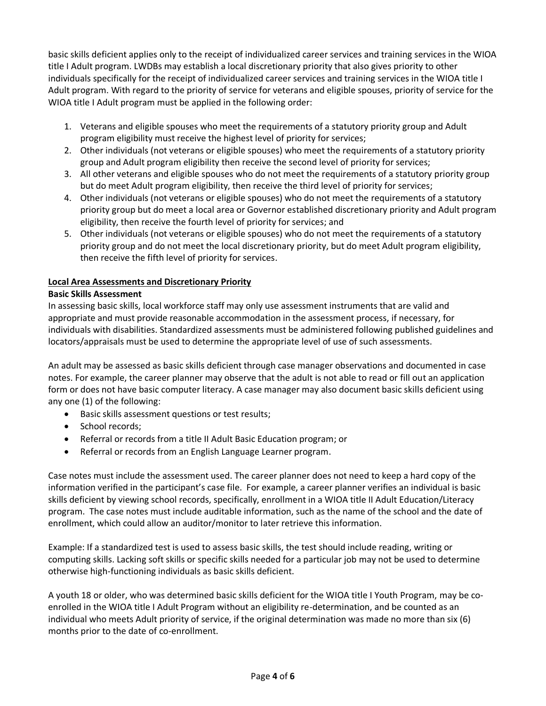basic skills deficient applies only to the receipt of individualized career services and training services in the WIOA title I Adult program. LWDBs may establish a local discretionary priority that also gives priority to other individuals specifically for the receipt of individualized career services and training services in the WIOA title I Adult program. With regard to the priority of service for veterans and eligible spouses, priority of service for the WIOA title I Adult program must be applied in the following order:

- 1. Veterans and eligible spouses who meet the requirements of a statutory priority group and Adult program eligibility must receive the highest level of priority for services;
- 2. Other individuals (not veterans or eligible spouses) who meet the requirements of a statutory priority group and Adult program eligibility then receive the second level of priority for services;
- 3. All other veterans and eligible spouses who do not meet the requirements of a statutory priority group but do meet Adult program eligibility, then receive the third level of priority for services;
- 4. Other individuals (not veterans or eligible spouses) who do not meet the requirements of a statutory priority group but do meet a local area or Governor established discretionary priority and Adult program eligibility, then receive the fourth level of priority for services; and
- 5. Other individuals (not veterans or eligible spouses) who do not meet the requirements of a statutory priority group and do not meet the local discretionary priority, but do meet Adult program eligibility, then receive the fifth level of priority for services.

# **Local Area Assessments and Discretionary Priority**

# **Basic Skills Assessment**

In assessing basic skills, local workforce staff may only use assessment instruments that are valid and appropriate and must provide reasonable accommodation in the assessment process, if necessary, for individuals with disabilities. Standardized assessments must be administered following published guidelines and locators/appraisals must be used to determine the appropriate level of use of such assessments.

An adult may be assessed as basic skills deficient through case manager observations and documented in case notes. For example, the career planner may observe that the adult is not able to read or fill out an application form or does not have basic computer literacy. A case manager may also document basic skills deficient using any one (1) of the following:

- Basic skills assessment questions or test results;
- School records;
- Referral or records from a title II Adult Basic Education program; or
- Referral or records from an English Language Learner program.

Case notes must include the assessment used. The career planner does not need to keep a hard copy of the information verified in the participant's case file. For example, a career planner verifies an individual is basic skills deficient by viewing school records, specifically, enrollment in a WIOA title II Adult Education/Literacy program. The case notes must include auditable information, such as the name of the school and the date of enrollment, which could allow an auditor/monitor to later retrieve this information.

Example: If a standardized test is used to assess basic skills, the test should include reading, writing or computing skills. Lacking soft skills or specific skills needed for a particular job may not be used to determine otherwise high-functioning individuals as basic skills deficient.

A youth 18 or older, who was determined basic skills deficient for the WIOA title I Youth Program, may be coenrolled in the WIOA title I Adult Program without an eligibility re-determination, and be counted as an individual who meets Adult priority of service, if the original determination was made no more than six (6) months prior to the date of co-enrollment.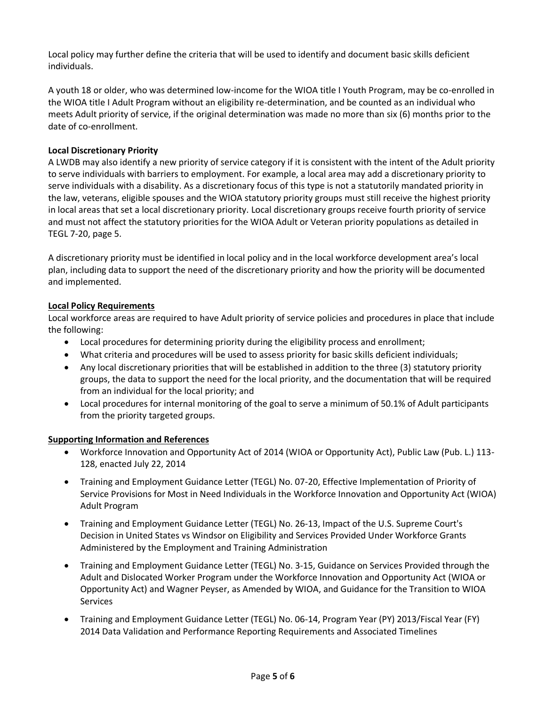Local policy may further define the criteria that will be used to identify and document basic skills deficient individuals.

A youth 18 or older, who was determined low-income for the WIOA title I Youth Program, may be co-enrolled in the WIOA title I Adult Program without an eligibility re-determination, and be counted as an individual who meets Adult priority of service, if the original determination was made no more than six (6) months prior to the date of co-enrollment.

## **Local Discretionary Priority**

A LWDB may also identify a new priority of service category if it is consistent with the intent of the Adult priority to serve individuals with barriers to employment. For example, a local area may add a discretionary priority to serve individuals with a disability. As a discretionary focus of this type is not a statutorily mandated priority in the law, veterans, eligible spouses and the WIOA statutory priority groups must still receive the highest priority in local areas that set a local discretionary priority. Local discretionary groups receive fourth priority of service and must not affect the statutory priorities for the WIOA Adult or Veteran priority populations as detailed in TEGL 7-20, page 5.

A discretionary priority must be identified in local policy and in the local workforce development area's local plan, including data to support the need of the discretionary priority and how the priority will be documented and implemented.

## **Local Policy Requirements**

Local workforce areas are required to have Adult priority of service policies and procedures in place that include the following:

- Local procedures for determining priority during the eligibility process and enrollment;
- What criteria and procedures will be used to assess priority for basic skills deficient individuals;
- Any local discretionary priorities that will be established in addition to the three (3) statutory priority groups, the data to support the need for the local priority, and the documentation that will be required from an individual for the local priority; and
- Local procedures for internal monitoring of the goal to serve a minimum of 50.1% of Adult participants from the priority targeted groups.

### **Supporting Information and References**

- Workforce Innovation and Opportunity Act of 2014 (WIOA or Opportunity Act), Public Law (Pub. L.) 113- 128, enacted July 22, 2014
- Training and Employment Guidance Letter (TEGL) No. 07-20, Effective Implementation of Priority of Service Provisions for Most in Need Individuals in the Workforce Innovation and Opportunity Act (WIOA) Adult Program
- Training and Employment Guidance Letter (TEGL) No. 26-13, Impact of the U.S. Supreme Court's Decision in United States vs Windsor on Eligibility and Services Provided Under Workforce Grants Administered by the Employment and Training Administration
- Training and Employment Guidance Letter (TEGL) No. 3-15, Guidance on Services Provided through the Adult and Dislocated Worker Program under the Workforce Innovation and Opportunity Act (WIOA or Opportunity Act) and Wagner Peyser, as Amended by WIOA, and Guidance for the Transition to WIOA **Services**
- Training and Employment Guidance Letter (TEGL) No. 06-14, Program Year (PY) 2013/Fiscal Year (FY) 2014 Data Validation and Performance Reporting Requirements and Associated Timelines